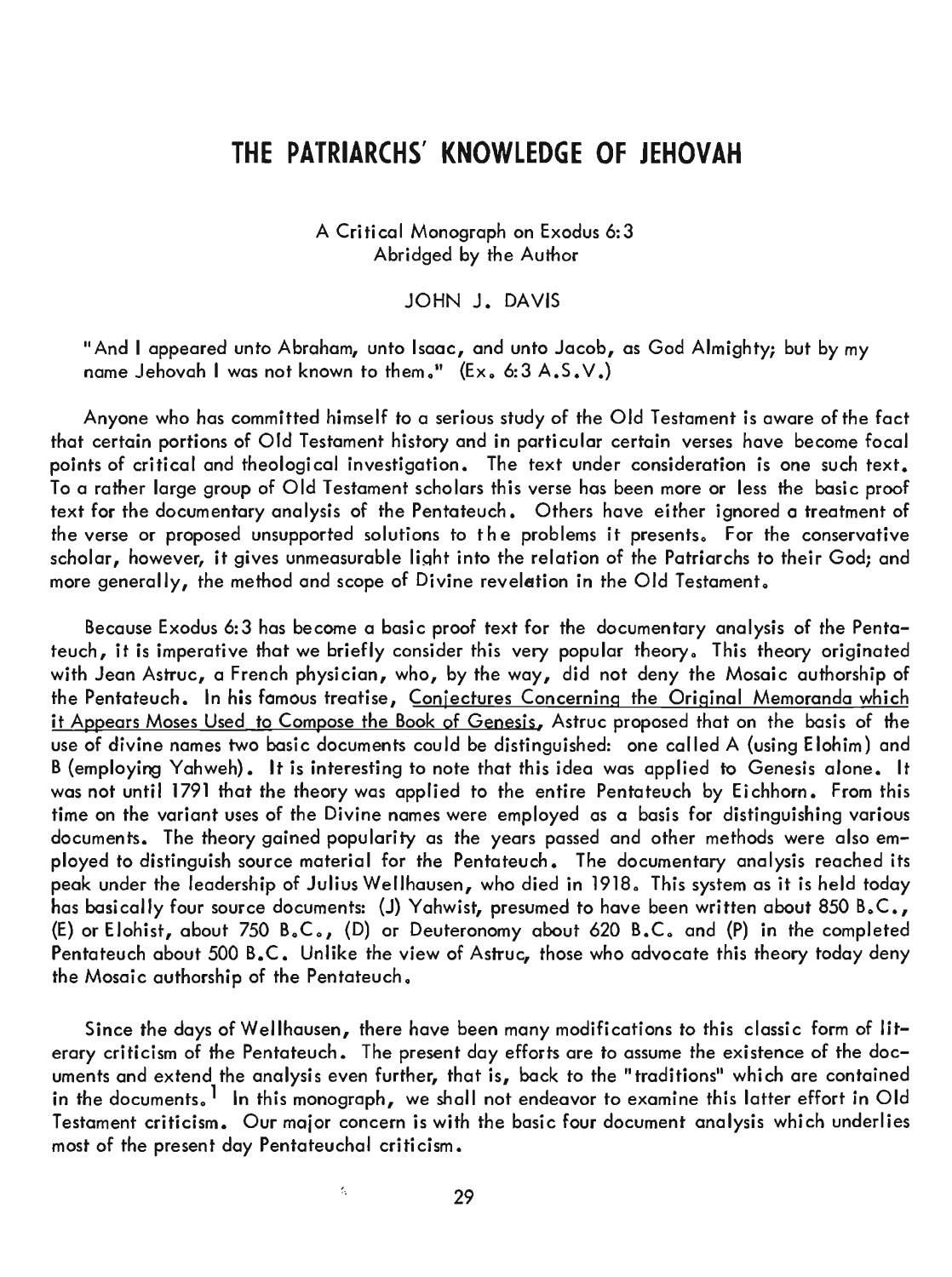# **THE PATRIARCHS' KNOWLEDGE OF JEHOVAH**

A Critical Monograph on Exodus 6:3 Abridged by the Author

JOHN J. DAVIS

"And I appeared unto Abraham, unto Isaac, and unto Jacob, as God Almighty; but by my name Jehovah I was not known to them." (Ex. 6:3 A.S. V.)

Anyone who has committed himself to a serious study of the Old Testament is aware of the fact that certain portions of Old Testament history and in particular certain verses have become focal points of critical and theological investigation. The text under consideration is one such text. To a rather large group of Old Testament scholars this verse has been more or less the basic proof text for the documentary analysis of the Pentateuch. Others have either ignored a treatment of the verse or proposed unsupported solutions to the problems it presents. For the conservative scholar, however, it gives unmeasurable light into the relation of the Patriarchs to their God; and more generally, the method and scope of Divine revelation in the 0 Id Testament.

Because Exodus 6:3 has become a basic proof text for the documentary analysis of the Pentateuch, it is imperative that we briefly consider this very popular theory. This theory originated with Jean Astruc, a French physician, who, by the way, did not deny the Mosaic authorship of the Pentateuch. In his famous treatise, Conjectures Concerning the Original Memoranda which it Appears Moses Used to Compose the Book of Genesis, Astruc proposed that on the basis of the use of divine names two basic documents could be distinguished: one called A (using E lohim) and B (employing Yahweh). It is interesting to note that this idea was applied to Genesis alone. It was not until 1791 that the theory was applied to the entire Pentateuch by Eichhorn. From this time on the variant uses of the Divine names were employed as a basis for distinguishing various documents. The theory gained popularity as the years passed and other methods were also employed to distinguish source material for the Pentateuch. The documentary analysis reached its peak under the leadership of Julius Wellhausen, who died in 1918. This system as it is held today has basically four source documents: (J) Yahwist, presumed to have been written about 850 B.C., (E) or Elohist, about 750 B.C., (D) or Deuteronomy about 620 B.C. and (P) in the completed Pentateuch about 500 B.C. Unlike the view of Astruc, those who advocate this theory today deny the Mosaic authorship of the Pentateuch.

Since the days of Wellhausen, there have been many modifications to this classic form of literary criticism of the Pentateuch. The present day efforts are to assume the existence of the documents and extend the analysis even further, that is, back to the" traditions" which are contained in the documents.<sup>1</sup> In this monograph, we shall not endeavor to examine this latter effort in Old Testament criticism. Our major concern is with the basic four document analysis which underlies most of the present day Pentateuchal criticism.

k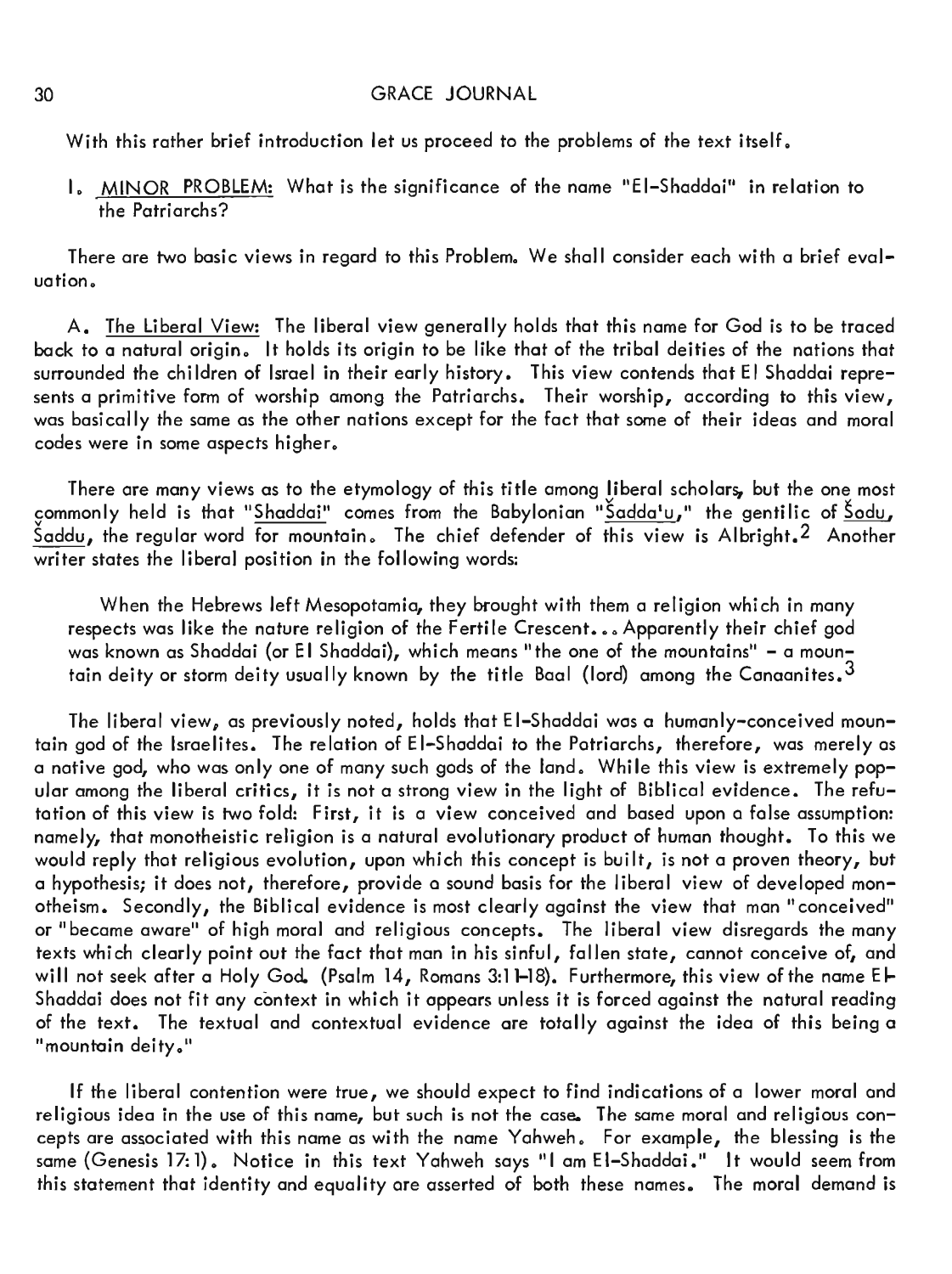With this rather brief introduction let us proceed to the problems of the text itself.

I. MINOR PROBLEM: What is the significance of the name "EI-Shaddai" in relation to the Patriarchs?

There are two basic views in regard to this Problem. We shall consider each with a brief evaluation.

A. The Liberal View: The liberal view generally holds that this name for God is to be traced back to a natural origin. It holds its origin to be like that of the tribal deities of the nations that surrounded the children of Israel in their early history. This view contends that El Shaddai represents a primitive form of worship among the Patriarchs. Their worship, according to this view, was basically the same as the other nations except for the fact that some of their ideas and moral codes were in some aspects higher.

There are many views as to the etymology of this title among liberal scholars, but the one most commonly held is that "Shaddai" comes from the Babylonian "<u>Sadda'u</u>," the gentilic of <u>Sodu</u>, Šaddu, the regular word for mountain. The chief defender of this view is Albright.<sup>2</sup> Another writer states the liberal position in the following words:

When the Hebrews left Mesopotamia, they brought with them a religion which in many respects was like the nature religion of the Fertile Crescent... Apparently their chief god was known as Shaddai (or El Shaddai), which means "the one of the mountains" - a mountain deity or storm deity usually known by the title Baal (lord) among the Canaanites.<sup>3</sup>

The liberal view, as previously noted, holds that E I-Shaddai was a humanly-conceived mountain god of the Israelites. The relation of EI-Shaddai to the Patriarchs, therefore, was merely as a native god, who was only one of many such gods of the land. While this view is extremely popular among the liberal critics, it is not a strong view in the light of Biblical evidence. The refutation of this view is two fold: First, it is a view conceived and based upon a false assumption: namely, that monotheistic religion is a natural evolutionary product of human thought. To this we would reply that religious evolution, upon which this concept is built, is not a proven theory, but a hypothesis; it does not, therefore, provide a sound basis for the liberal view of developed monotheism. Secondly, the Biblical evidence is most clearly against the view that man "conceived" or "became aware" of high moral and religious concepts. The liberal view disregards the many texts which clearly point out the fact that man in his sinful, fallen state, cannot conceive of, and will not seek after a Holy God. (Psalm 14, Romans 3:11-18). Furthermore, this view of the name El-Shaddai does not fit any context in which it appears unless it is forced against the natural reading of the text. The textual and contextual evidence are totally against the idea of this being a "mountain deity."

If the liberal contention were true, we should expect to find indications of a lower moral and religious idea in the use of this name, but such is not the case. The same moral and religious concepts are associated with this name as with the name Yahweh. For example, the blessing is the same {Genesis 17:1}. Notice in this text Yahweh says "I am EI-Shaddai." It would seem from this statement that identity and equality are asserted of both these names. The moral demand is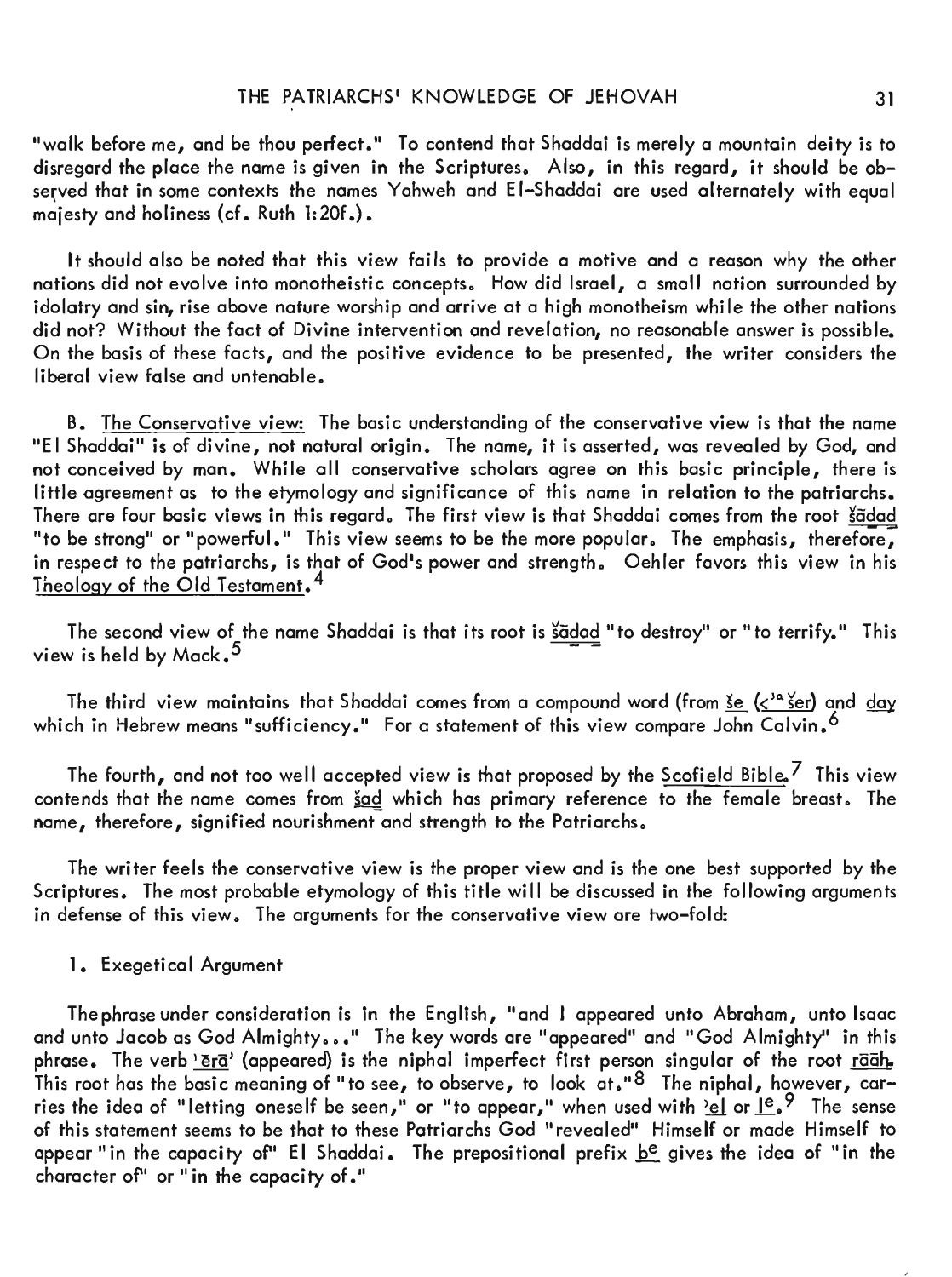"walk before me, and be thou perfect." To contend that Shaddai is merely a mountain deity is to disregard the place the name is given in the Scriptures. Also, in this regard, it should be observed that in some contexts the names Yahweh and EI-Shaddai are used alternately with equal majesty and holiness (cf. Ruth 1:20f.).

It should also be noted that this view fails to provide a motive and a reason why the other nations did not evolve into monotheistic concepts. How did Israel, a small nation surrounded by idolatry and sin, rise above nature worship and arrive at a high monotheism while the other nations did not? Without the fact of Divine intervention and revelation, no reasonable answer is possible. On the basis of these facts, and the positive evidence to be presented, the writer considers the  $liberal view false and untenable.$ 

B. The Conservative view: The basic understanding of the conservative view is that the name liE I Shaddai" is of divine, not natural origin. The name, it is asserted, was revealed by God, and not conceived by man. While all conservative scholars agree on this basic principle, there is little agreement as to the etymology and significance of this name in relation to the patriarchs. There are four basic views in this regard. The first view is that Shaddai comes from the root sadad "to be strong" or "powerful." This view seems to be the more popular. The emphasis, therefore, in respect to the patriarchs, is that of God's power and strength. Oehler favors this view in his Theology of the Old Testament. 4

The second view of the name Shaddai is that its root is sadad "to destroy" or "to terrify." This view is held by Mack.  $^5$ 

The third view maintains that Shaddai comes from a compound word (from <u>se</u>  $\langle \zeta^{1a} \rangle$  and  $\frac{day}{a}$ which in Hebrew means "sufficiency." For a statement of this view compare John Calvin,  $^6$ 

The fourth, and not too well accepted view is that proposed by the Scofield Bible,  $^7$  This view contends that the name comes from sad which has primary reference to the female breast. The name, therefore, signified nourishment and strength to the Patriarchs.

The writer feels the conservative view is the proper view and is the one best supported by the Scriptures. The most probable etymology of this title will be discussed in the following arguments in defense of this view. The arguments for the conservative view are two-fold:

#### 1. Exegetical Argument

The phrase under consideration is in the English, "and I appeared unto Abraham, unto Isaac and unto Jacob as God Almighty..." The key words are "appeared" and "God Almighty" in this phrase. The verb 'era' (appeared) is the niphal imperfect first person singular of the root raah. This root has the basic meaning of "to see, to observe, to look at." $^8\,$  The niphal, however, carries the idea of "letting oneself be seen," or "to appear," when used with  $\frac{1}{2}$  or  $\frac{1}{2}$ ,  $\frac{2}{7}$  The sense of this statement seems to be that to these Patriarchs God "revealed" Himself or made Himself to appear "in the capacity of" El Shaddai. The prepositional prefix b<sup>e</sup> gives the idea of "in the character of" or "in the capacity of."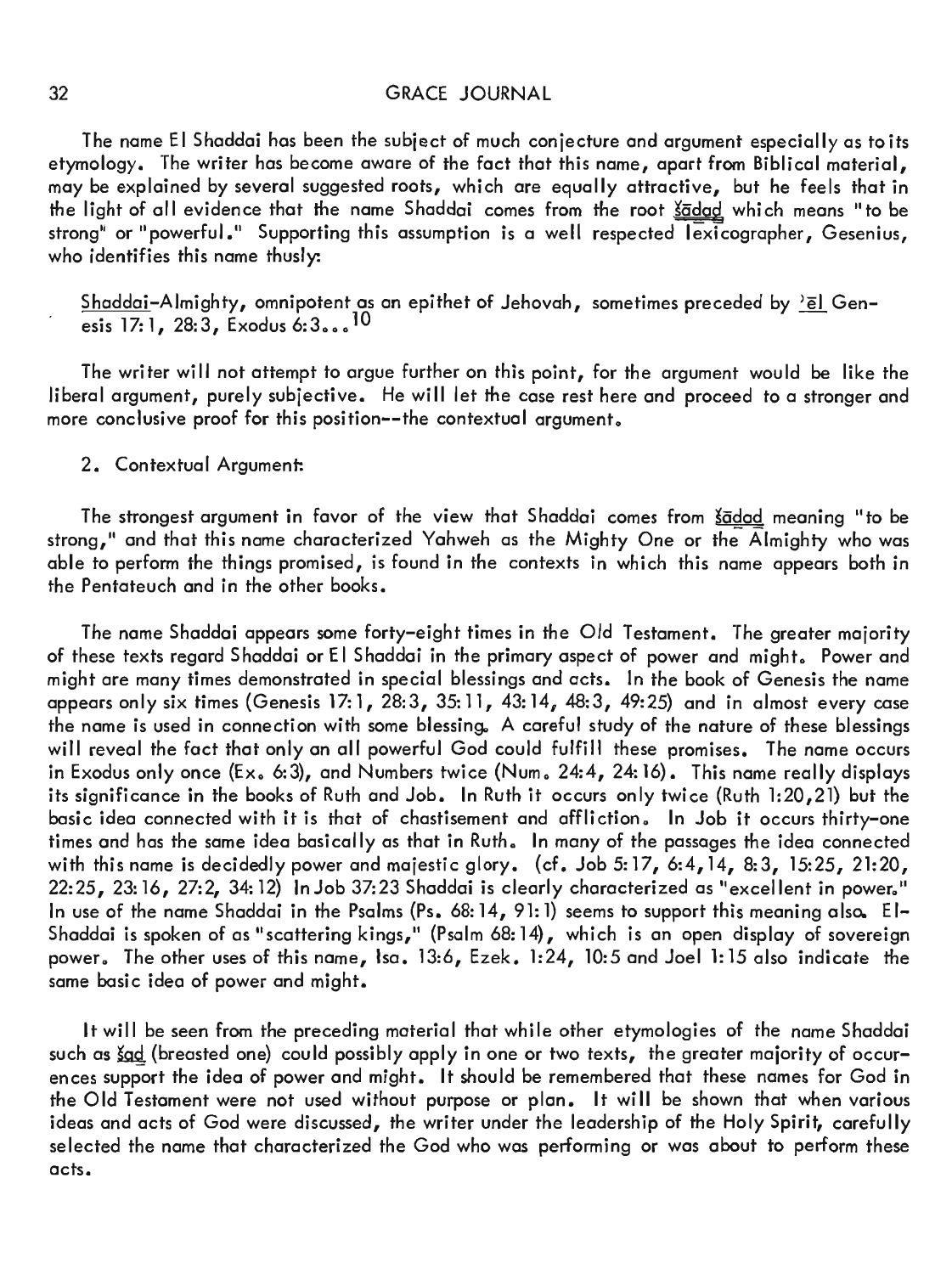The name EI Shaddai has been the subject of much conjecture and argument especially as to its etymology. The writer has become aware of the fact that this name, apart from Biblical material, may be explained by several suggested roots, which are equally attractive, but he feels that in the light of all evidence that the name Shaddai comes from the root  $\frac{\xi}{a}$  which means "to be strong" or "powerful." Supporting this assumption is a well respected lexicographer, Gesenius, who identifies this name thusly:

<u>Shaddai</u>–Almighty, omnipotent as an epithet of Jehovah, sometimes preceded by <u><sup>></sup>ēl</u> Gen– esis 17:1, 28:3, Exodus 6:3...<sup>10</sup>

The writer will not attempt to argue further on this point, for the argument would be like the liberal argument, purely subjective. He will let the case rest here and proceed to a stronger and more conclusive proof for this position--the contextual argument.

## 2. Contextual Argument:

The strongest argument in favor of the view that Shaddai comes from *šadad* meaning "to be strong," and that this name characterized Yahweh as the Mighty One or the Almighty who was able to perform the things promised, is found in the contexts in which this name appears both in the Pentateuch and in the other books.

The name Shaddai appears some forty-eight times in the Old Testament. The greater majority of these texts regard Shaddai or El Shaddai in the primary aspect of power and might. Power and might are many times demonstrated in special blessings and acts. In the book of Genesis the name appears only six times (Genesis 17:1, 28:3, 35:11, 43:14, 48:3, 49:25) and in almost every case the name is used in connection with some blessing. A careful study of the nature of these blessings will reveal the fact that only an all powerful God could fulfill these promises. The name occurs in Exodus only once (Ex. 6:3), and Numbers twice (Num. 24:4, 24:16). This name really displays its significance in the books of Ruth and Job. In Ruth it occurs only twice (Ruth 1:20,21) but the basic idea connected with it is that of chastisement and affliction. In Job it occurs thirty-one times and has the same idea basically as that in Ruth. In many of the passages the idea connected with this name is decidedly power and majestic glory. (cf. Job 5:17, 6:4,14, 8:3, 15:25, 21:20,  $22:25$ ,  $23:16$ ,  $27:2$ ,  $34:12$ ) In Job  $37:23$  Shaddai is clearly characterized as "excellent in power." In use of the name Shaddai in the Psalms (Ps. 68: 14, 91: 1) seems to support this meaning also. El-Shaddai is spoken of as " scattering kings," (Psalm 68: 14), which is an open display of sovereign power. The other uses of this name, Isa. 13:6, Ezek. 1:24, 10:5 and Joel 1:15 also indicate the same basic idea of power and might.

It will be seen from the preceding material that while other etymologies of the name Shaddai such as  $\frac{\xi}{2}$  (breasted one) could possibly apply in one or two texts, the greater majority of occurences support the idea of power and might. It should be remembered that these names for God in the Old Testament were not used without purpose or plan. It will be shown that when various ideas and acts of God were discussed, the writer under the leadership of the Holy Spirit, carefully selected the name that characterized the God who was performing or was about to perform these acts.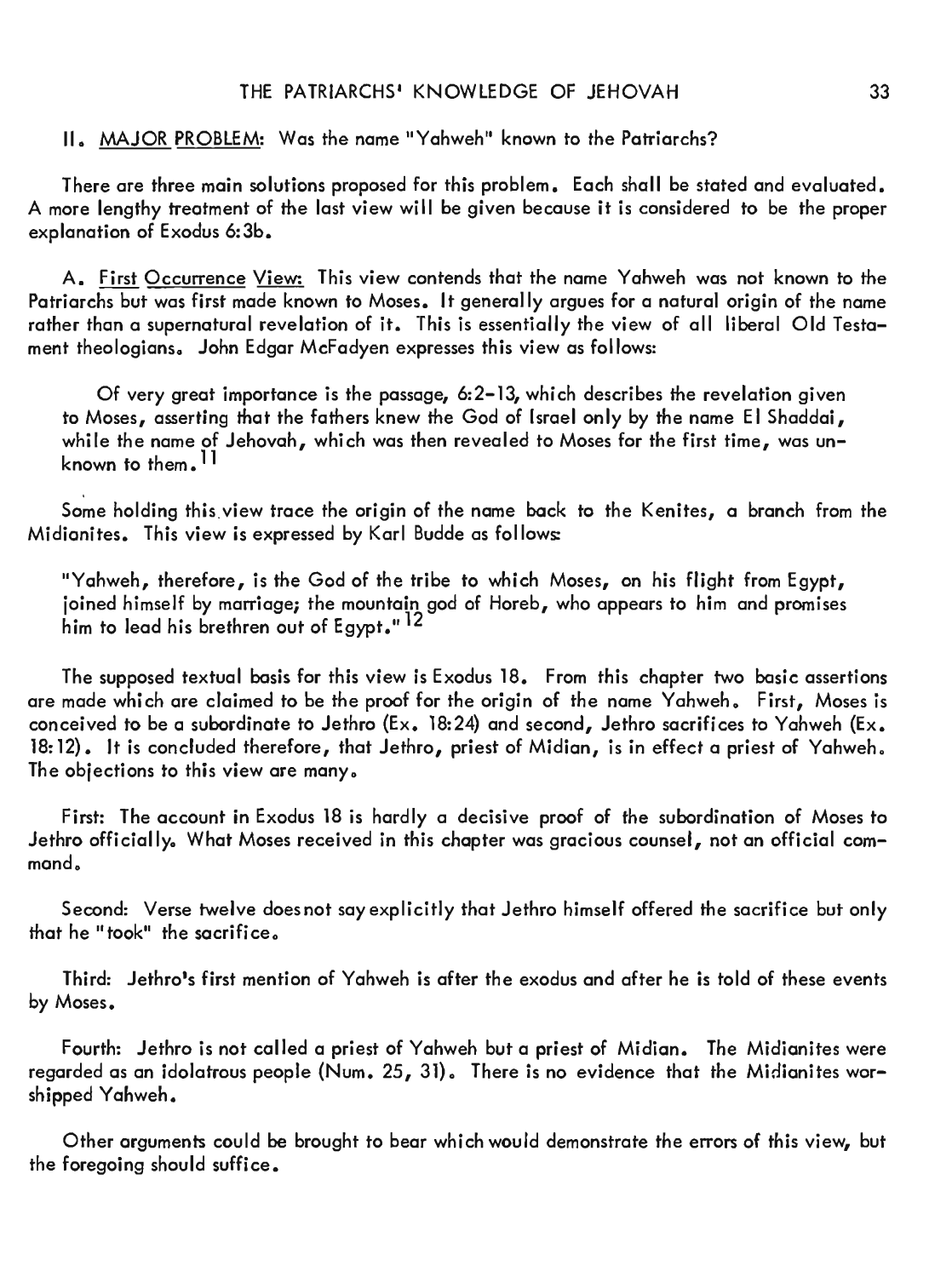## II. MAJOR PROBLEM: Was the name "Yahweh" known to the Patriarchs?

There are three main solutions proposed for this problem. Each shall be stated and evaluated. A more lengthy treatment of the last view will be given because it is considered to be the proper explanation of Exodus 6:3b.

A. First Occurrence View: This view contends that the name Yahweh was not known to the Patriarchs but was first made known to Moses. It generally argues for a natural origin of the name rather than a supernatural revelation of it. This is essentially the view of all liberal Old Testament theologians. John Edgar McFadyen expresses this view as follows:

Of very great importance is the passage, 6:2-13, which describes the revelation given to Moses, asserting that the fathers knew the God of Israel only by the name EI Shaddai, while the name of Jehovah, which was then revealed to Moses for the first time, was unknown to them.<sup>11</sup>

Some holding this. view trace the origin of the name back to the Kenites, a branch from the Midianites. This view is expressed by Karl Budde as follows:

"Yahweh, therefore, is the God of the tribe to which Moses, on his flight from Egypt, joined himself by marriage; the mountain god of Horeb, who appears to him and promises him to lead his brethren out of Egypt." 12

The supposed textual basis for this view is Exodus 18. From this chapter two basic assertions are made which are claimed to be the proof for the origin of the name Yahweh. First, Moses is conceived to be a subordinate to Jethro (Ex. 18:24) and second, Jethro sacrifices to Yahweh (Ex. 18: 12). It is concluded therefore, that Jethro, priest of Midian, is in effect a priest of Yahweh. The objections to this view are many.

First: The account in Exodus 18 is hardly a decisive proof of the subordination of Moses to Jethro officially. What Moses received in this chapter was gracious counsel, not an official command.

Second: Verse twelve does not say explicitly that Jethro himself offered the sacrifice but only that he "took" the sacrifice.

Third: Jethro's first mention of Yahweh is after the exodus and after he is told of these events by Moses.

Fourth: Jethro is not called a priest of Yahweh but a priest of Midian. The Midianites were regarded as an idolatrous people (Num. 25, 31). There is no evidence that the Midianites worshipped Yahweh.

Other arguments could be brought to bear which would demonstrate the errors of this view, but the foregoing should suffice.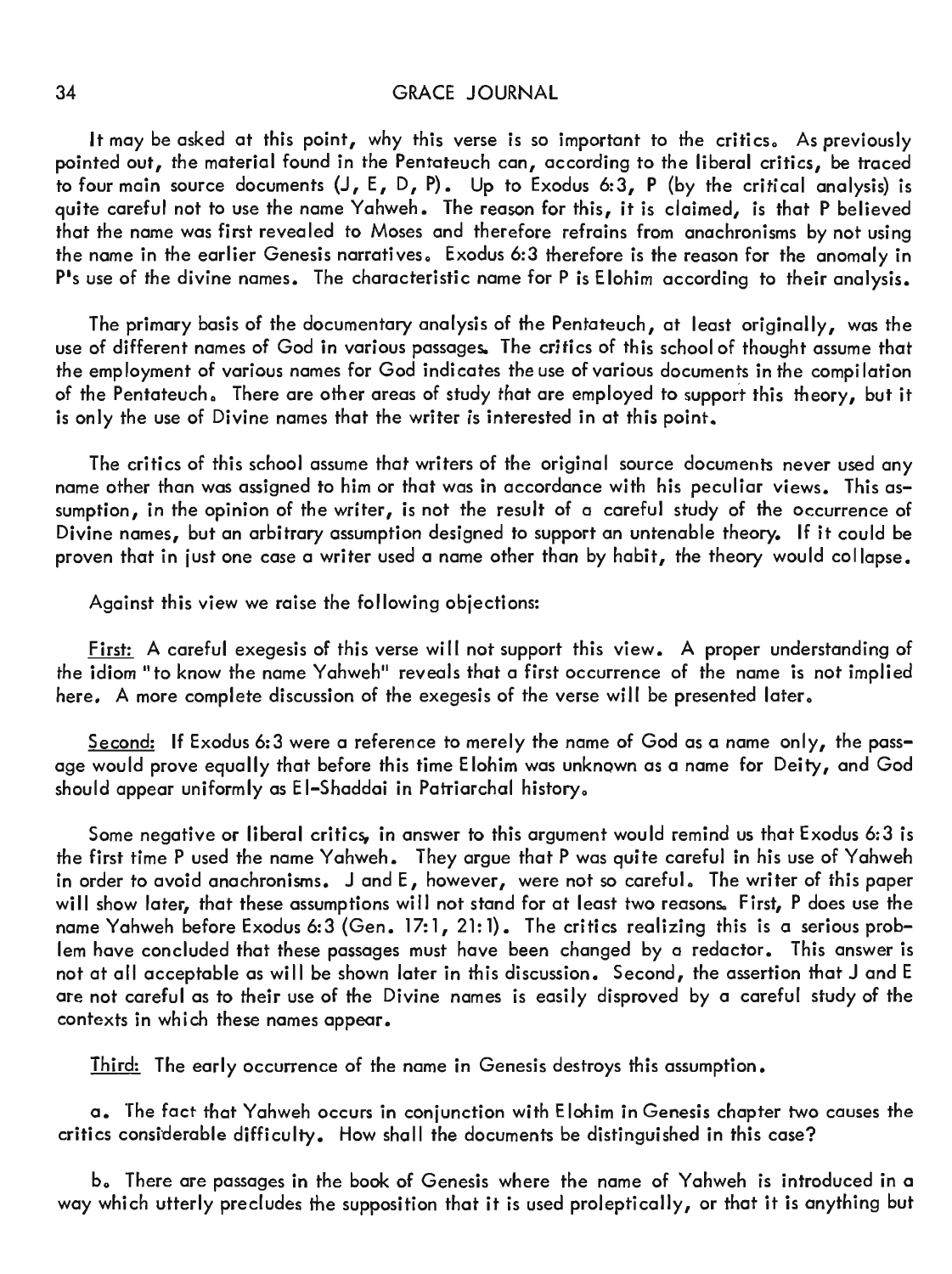It may be asked at this point, why this verse is so important to the critics. As previously pointed out, the material found in the Pentateuch can, according to the liberal critics, be traced to four main source documents (J, E, D, P). Up to Exodus 6:3, P (by the critical analysis) is quite careful not to use the name Yahweh. The reason for this, it is claimed, is that P believed that the name was first revealed to Moses and therefore refrains from anachronisms by not using the name in the earlier Genesis narratives. Exodus 6:3 therefore is the reason for the anomaly in  $P$ 's use of the divine names. The characteristic name for  $P$  is Elohim according to their analysis.

The primary basis of the documentary analysis of the Pentateuch, at least originally, was the use of different names of God in various passages. The critics of this school of thought assume that the employment of various names for God indicates the use of various documents in the compi lation of the Pentateuch. There are other areas of study that are employed to support this theory, but it is only the use of Divine names that the writer is interested in at this point.

The critics of this school assume that writers of the original source documents never used any name other than was assigned to him or that was in accordance with his peculiar views. This assumption, in the opinion of the writer, is not the result of a careful study of the occurrence of Divine names, but an arbitrary assumption designed to support an untenable theory. If it could be proven that in just one case a writer used a name other than by habit, the theory would collapse.

Against this view we raise the following objections:

First: A careful exegesis of this verse will not support this view. A proper understanding of the idiom "to know the name Yahweh" reveals that a first occurrence of the name is not implied here. A more complete discussion of the exegesis of the verse will be presented later.

Second: If Exodus 6:3 were a reference to merely the name of God as a name only, the passage would prove equally that before this time Elohim was unknown as a name for Deity, and God should appear uniformly as EI-Shaddai in Patriarchal history.

Some negative or liberal critics, in answer to this argument would remind us that Exodus 6:3 is the first time P used the name Yahweh. They argue that P was quite careful in his use of Yahweh in order to avoid anachronisms.  $J$  and  $E$ , however, were not so careful. The writer of this paper will show later, that these assumptions will not stand for at least two reasons. First, P does use the name Yahweh before Exodus 6:3 (Gen. 17:1, 21:1). The critics realizing this is a serious problem have concluded that these passages must have been changed by a redactor. This answer is not at all acceptable as will be shown later in this discussion. Second, the assertion that J and E are not careful as to their use of the Divine names is easily disproved by a careful study of the contexts in which these names appear.

Third: The early occurrence of the name in Genesis destroys this assumption.

a. The fact that Yahweh occurs in conjunction with Elohim in Genesis chapter two causes the critics considerable difficulty. How shall the documents be distinguished in this case?

b。There are passages in the book of Genesis where the name of Yahweh is introduced in a way which utterly precludes the supposition that it is used proleptically, or that it is anything but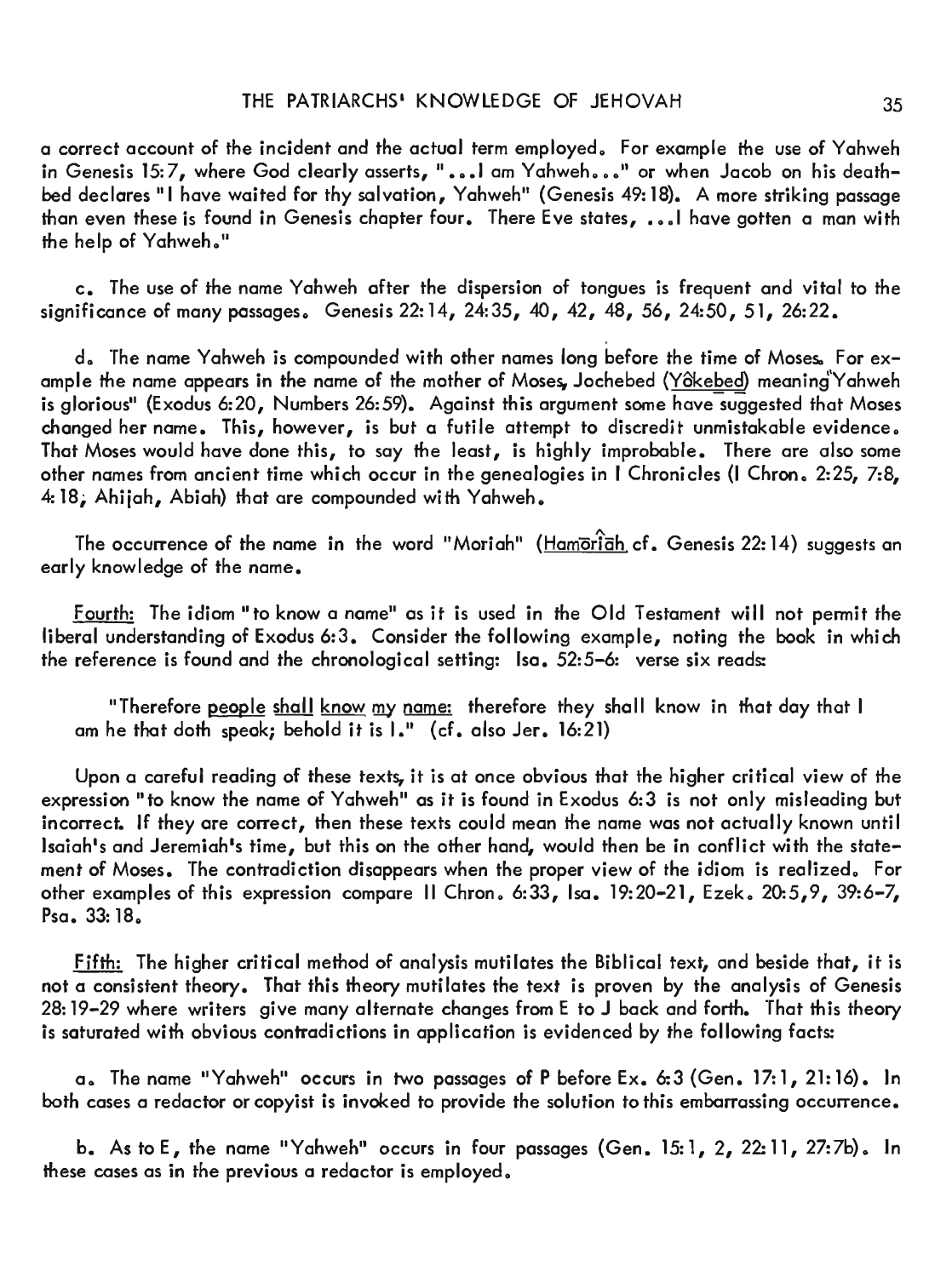a correct account of the incident and the actual term employed. For example the use of Yahweh in Genesis 15:7, where God clearly asserts, "...l am Yahweh..." or when Jacob on his deathbed declares "I have waited for thy salvation, Yahweh" (Genesis 49:18). A more striking passage than even these is found in Genesis chapter four. There Eve states, ... I have gotten a man with the help of Yahweh."

c. The use of the name Yahweh after the dispersion of tongues is frequent and vital to the significance of many passages. Genesis 22: 14, 24: 35, 40, 42, 48, 56, 24: 50, 51, 26: 22.

d. The name Yahweh is compounded with other names long before the time of Moses. For example the name appears in the name of the mother of Moses, Jochebed (Yôkebed) meaning Yahweh is glorious" (Exodus 6:20, Numbers 26:59). Against this argument some have suggested that Moses changed her name. This, however, is but a futile attempt to discredit unmistakable evidence. That Moses would have done this, to say the least, is highly improbable. There are also some other names from ancient time which occur in the genealogies in I Chronicles (I Chron. 2:25, 7:8, 4: 18; Ahijah, Abiah) that are compounded with Yahweh.

The occurrence of the name in the word "Moriah" (Hamoriah cf. Genesis 22: 14) suggests an early knowledge of the name.

Fourth: The idiom "to know a name" as it is used in the Old Testament will not permit the liberal understanding of Exodus 6:3. Consider the following example, noting the book in which the reference is found and the chronological setting: Isa. 52:5-6: verse six reads:

"Therefore people shall know my name: therefore they shall know in that day that I am he that doth speak; behold it is  $l$ ." (cf. also Jer. 16:21)

Upon a careful reading of these texts, it is at once obvious that the higher critical view of the expression "to know the name of Yahweh" as it is found in Exodus 6:3 is not only misleading but incorrect. If they are correct, then these texts could mean the name was not actually known until Isaiah's and Jeremiah's time, but this on the other hand, would then be in conflict with the statement of Moses. The contradiction disappears when the proper view of the idiom is realized. For other examples of this expression compare II Chron. 6:33, Isa. 19:20-21, Ezek. 20:5,9, 39:6-7,  $P$ sa. 33: 18.

Fifth: The higher critical method of analysis mutilates the Biblical text, and beside that, it is not a consistent theory. That this theory mutilates the text is proven by the analysis of Genesis 28: 19-29 where writers give many alternate changes from E to J back and forth. That this theory is saturated with obvious contradictions in application is evidenced by the following facts:

a. The name "Yahweh" occurs in two passages of P before Ex. 6:3 (Gen. 17:1, 21:16). In both cases a redactor or copyist is invoked to provide the solution to this embarrassing occurrence.

b. As to E, the name "Yahweh" occurs in four passages (Gen. 15:1, 2, 22:11, 27:7b). In these cases as in the previous a redactor is employed.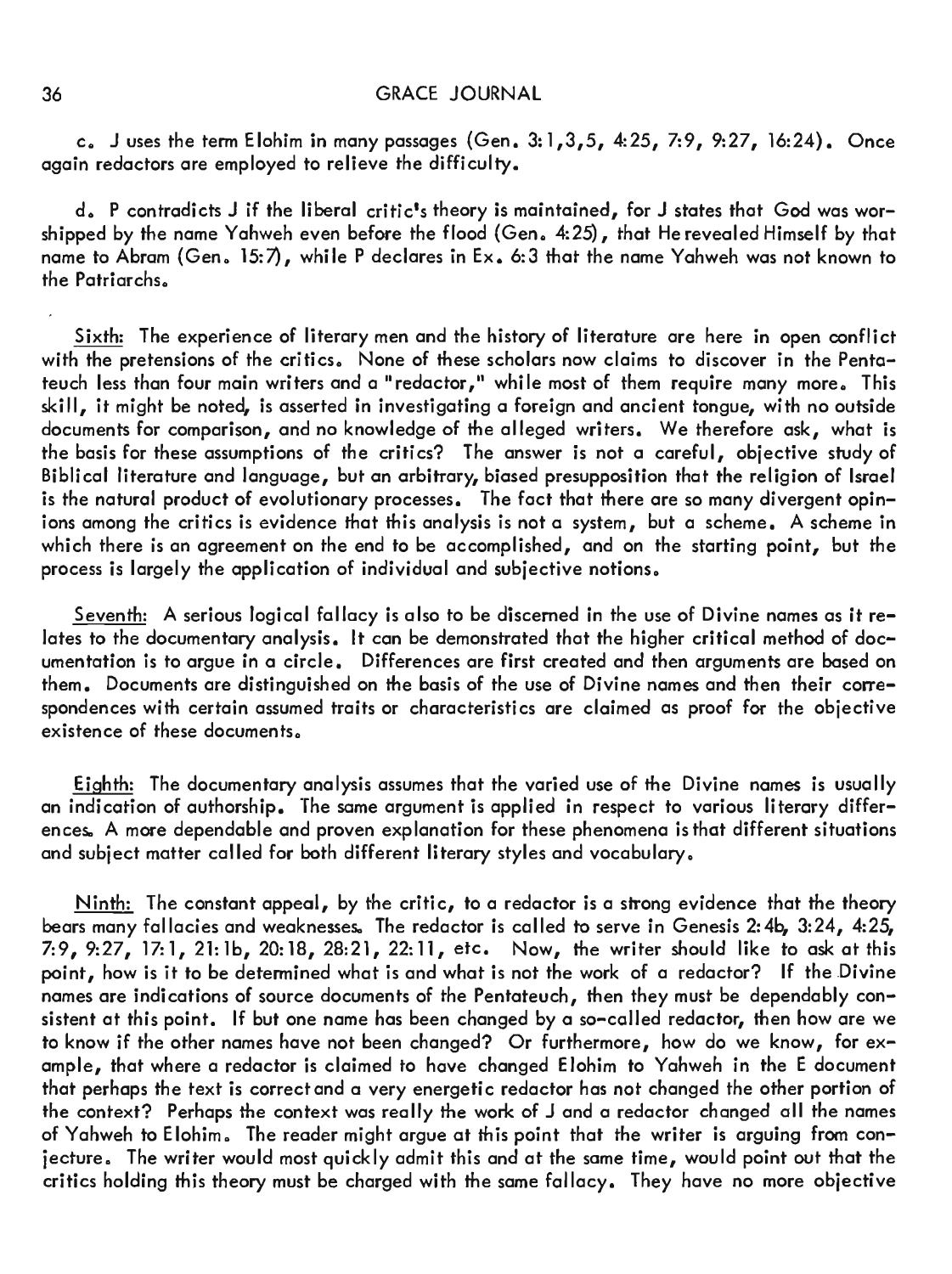c. J uses the term Elohim in many passages (Gen. 3:1,3,5, 4:25, 7:9, 9:27, 16:24). Once again redactors are employed to relieve the difficulty.

d.P contradicts J if the liberal critic's theory is maintained,for J states that God was worshipped by the name Yahweh even before the flood (Gen。4:25),that He revealed Himself by that name to Abram (Gen. 15:7), while P declares in Ex. 6:3 that the name Yahweh was not known to the Patriarchs.

Sixth: The experience of literary men and the history of literature are here in open conflict with the pretensions of the critics. None of these scholars now claims to discover in the Pentateuch less than four main writers and a "redactor," while most of them require many more. This skill, it might be noted, is asserted in investigating a foreign and ancient tongue, with no outside documents for comparison, and no knowledge of the alleged writers. We therefore ask, what is the basis for these assumptions of the critics? The answer is not a careful, objective study of Biblical literature and language, but an arbitrary, biased presupposition that the religion of Israel is the natural product of evolutionary processes. The fact that there are so many divergent opinions among the critics is evidence that this analysis is not a system, but a scheme. A scheme in which there is an agreement on the end to be accomplished, and on the starting point, but the process is largely the application of individual and subjective notions.

Seventh: A serious logical fallacy is also to be discerned in the use of Divine names as it relates to the documentary analysis. It can be demonstrated that the higher critical method of documentation is to argue in a circle. Differences are first created and then arguments are based on them. Documents are distinguished on the basis of the use of Divine names and then their correspondences with certain assumed traits or characteristics are claimed as proof for the objective existence of these documents.

Eighth: The documentary analysis assumes that the varied use of the Divine names is usually an indication of authorship. The same argument is applied in respect to various literary differences. A more dependable and proven explanation for these phenomena is that different situations and subject matter called for both different literary styles and vocabulary.

Ninth: The constant appeal, by the critic, to a redactor is a strong evidence that the theory bears many fallacies and weaknesses。The redactor is called to serve in Genesis 2:4b, 3:24, 4:25, 7:9,9:27, 17:1, 21:1b, 20:18, 28:21, 22:11, etc. Now, the writer should like to ask at this point, how is it to be determined what is and what is not the work of a redactor? If the Divine names are indications of source documents of the Pentateuch, then they must be dependably consistent at this point. If but one name has been changed by a so-called redactor, then how are we to know if the other names have not been changed? Or furthermore, how do we know, for example, that where a redactor is claimed to have changed Elohim to Yahweh in the E document that perhaps the text is correct and a very energetic redactor has not changed the other portion of the context? Perhaps the context was really the work of J and a redactor changed all the names of Yahweh to Elohim. The reader might argue at this point that the writer is arguing from conjecture. The writer would most quickly admit this and at the same time, would point out that the critics holding this theory must be charged with the same fallacy. They have no more objective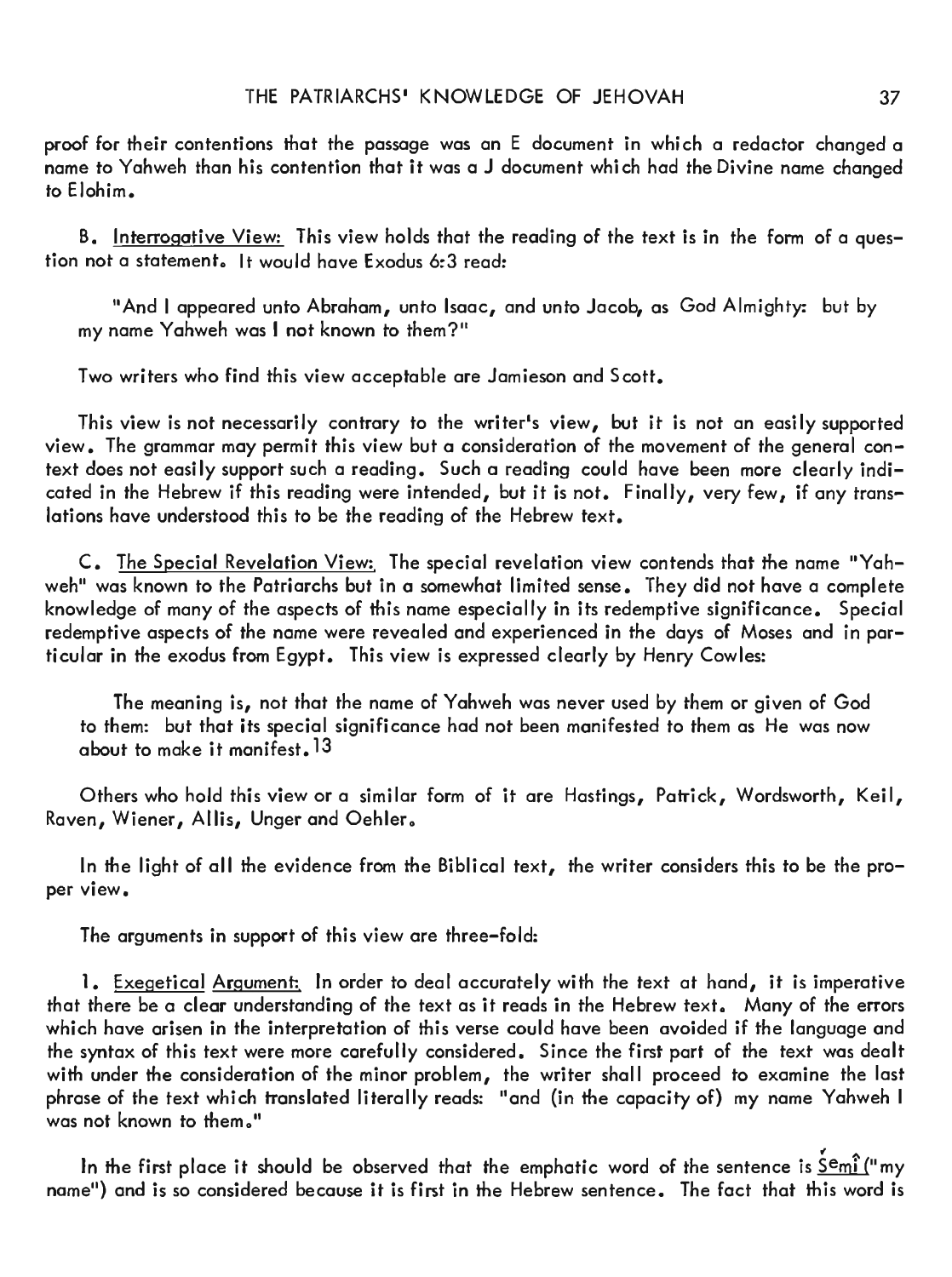proof for their contentions that the passage was an E document in which a redactor changed a name to Yahweh than his contention that it was a J document which had the Divine name changed to Elohim.

B. Interrogative View: This view holds that the reading of the text is in the form of a question not a statement. It would have Exodus 6:3 read:

"And I appeared unto Abraham, unto Isaac, and unto Jacob, as God Almighty: but by my name Yahweh was I not known to them?"

Two writers who find this view acceptable are Jamieson and Scott.

This view is not necessarily contrary to the writer's view, but it is not an easily supported view. The grammar may permit this view but a consideration of the movement of the general context does not easily support such a reading. Such a reading could have been more clearly indicated in the Hebrew if this reading were intended, but it is not. Finally, very few, if any translations have understood this to be the reading of the Hebrew text.

C. The Special Revelation View: The special revelation view contends that the name "Yahweh" was known to the Patriarchs but in a somewhat limited sense. They did not have a complete knowledge of many of the aspects of this name especially in its redemptive significance. Special redemptive aspects of the name were revealed and experienced in the days of Moses and in particular in the exodus from Egypt. This view is expressed clearly by Henry Cowles:

The meaning is, not that the name of Yahweh was never used by them or given of God to them: but that its special significance had not been manifested to them as He was now about to make it manifest. 13

Others who hold this view or a similar form of it are Hastings, Patrick, Wordsworth, Keil, Raven, Wiener, Allis, Unger and Oehler.

In the light of all the evidence from the Biblical text, the writer considers this to be the proper view.

The arguments in support of this view are three-fold:

1. Exegetical Argument: In order to deal accurately with the text at hand, it is imperative that there be a clear understanding of the text as it reads in the Hebrew text. Many of the errors which have arisen in the interpretation of this verse could have been avoided if the language and the syntax of this text were more carefully considered. Since the first part of the text was dealt with under the consideration of the minor problem, the writer shall proceed to examine the last phrase of the text which translated literally reads: "and (in the capacity of) my name Yahweh I was not known to them."

In the first place it should be observed that the emphatic word of the sentence is  $\frac{\dot{S}emi}{m}$  my name") and is so considered because it is first in the Hebrew sentence. The fact that this word is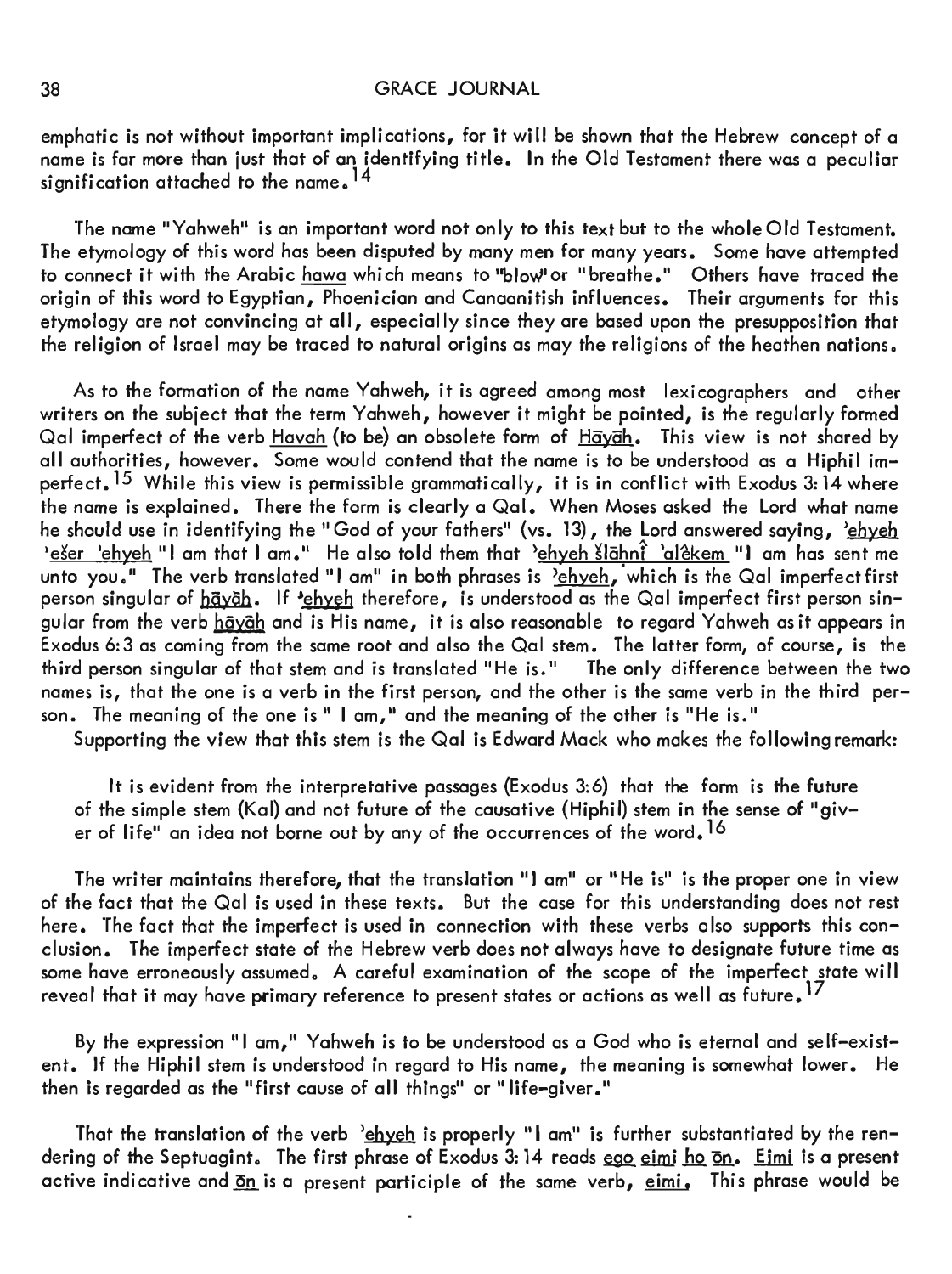emphatic is not without important implications, for it will be shown that the Hebrew concept of a name is far more than just that of an identifying title. In the Old Testament there was a peculiar signification attached to the name  $^{14}$ 

The name "Yahweh" is an important word not only to this text but to the wholeOld Testament. The etymology of this word has been disputed by many men for many years. Some have attempted to connect it with the Arabic hawa which means to "blowlor "breathe." Others have traced the origin of this word to Egyptian, Phoenician and Canaanitish influences. Their arguments for this etymology are not convincing at all, especially since they are based upon the presupposition that the religion of Israel may be traced to natural origins as may the religions of the heathen nations.

As to the formation of the name Yahweh, it is agreed among most lexicographers and other writers on the subject that the term Yahweh, however it might be pointed, is the regularly formed Qal imperfect of the verb Havah (to be) an obsolete form of Hayah. This view is not shared by all authorities, however. Some would contend that the name is to be understood as a Hiphil imperfect.  $^{15}$  While this view is permissible grammatically, it is in conflict with Exodus 3: 14 where the name is explained. There the form is clearly a Qal. When Moses asked the Lord what name he should use in identifying the "God of your fathers" (vs. 13), the Lord answered saying, 'chych leser 'ehyeh "I am that I am." He also told them that 'ehyeh šlāhnî 'alêkem "I am has sent me unto you." The verb translated "I am" in both phrases is  $\frac{1}{2}$  ehyeh, which is the Qal imperfect first person singular of  $h\bar{g}\nu\bar{g}h$ . If 'chych therefore, is understood as the Qal imperfect first person singular from the verb hayah and is His name, it is also reasonable to regard Yahweh as it appears in Exodus 6:3 as coming from the same root and also the Qal stem. The latter form, of course, is the third person singular of that stem and is translated "He is." The only difference between the two third person singular of that stem and is translated "He is." names is, that the one is a verb in the first person, and the other is the same verb in the third person. The meaning of the one is " I am," and the meaning of the other is "He is."

Supporting the view that this stem is the Qal is Edward Mack who makes the following remark:

It is evident from the interpretative passages {Exodus 3:6} that the form is the future of the simple stem (Kal) and not future of the causative (Hiphil) stem in the sense of "giver of life" an idea not borne out by any of the occurrences of the word.<sup>16</sup>

The writer maintains therefore, that the translation "I am" or "He is" is the proper one in view of the fact that the Qal is used in these texts. But the case for this understanding does not rest here. The fact that the imperfect is used in connection with these verbs also supports this conclusion. The imperfect state of the Hebrew verb does not always have to designate future time as some have erroneously assumed. A careful examination of the scope of the imperfect state will reveal that it may have primary reference to present states or actions as well as future.<sup>17</sup>

By the expression "I am," Yahweh is to be understood as a God who is eternal and self-existent. If the Hiphil stem is understood in regard to His name, the meaning is somewhat lower. He then is regarded as the "first cause of all things" or "life-giver."

That the translation of the verb <u><sup>></sup>ehyeh</u> is properly "I am" is further substantiated by the ren– dering of the Septuagint. The first phrase of Exodus 3: 14 reads <u>ego eimi ho on</u>. Eimi is a present active indicative and on is a present participle of the same verb, eimi, This phrase would be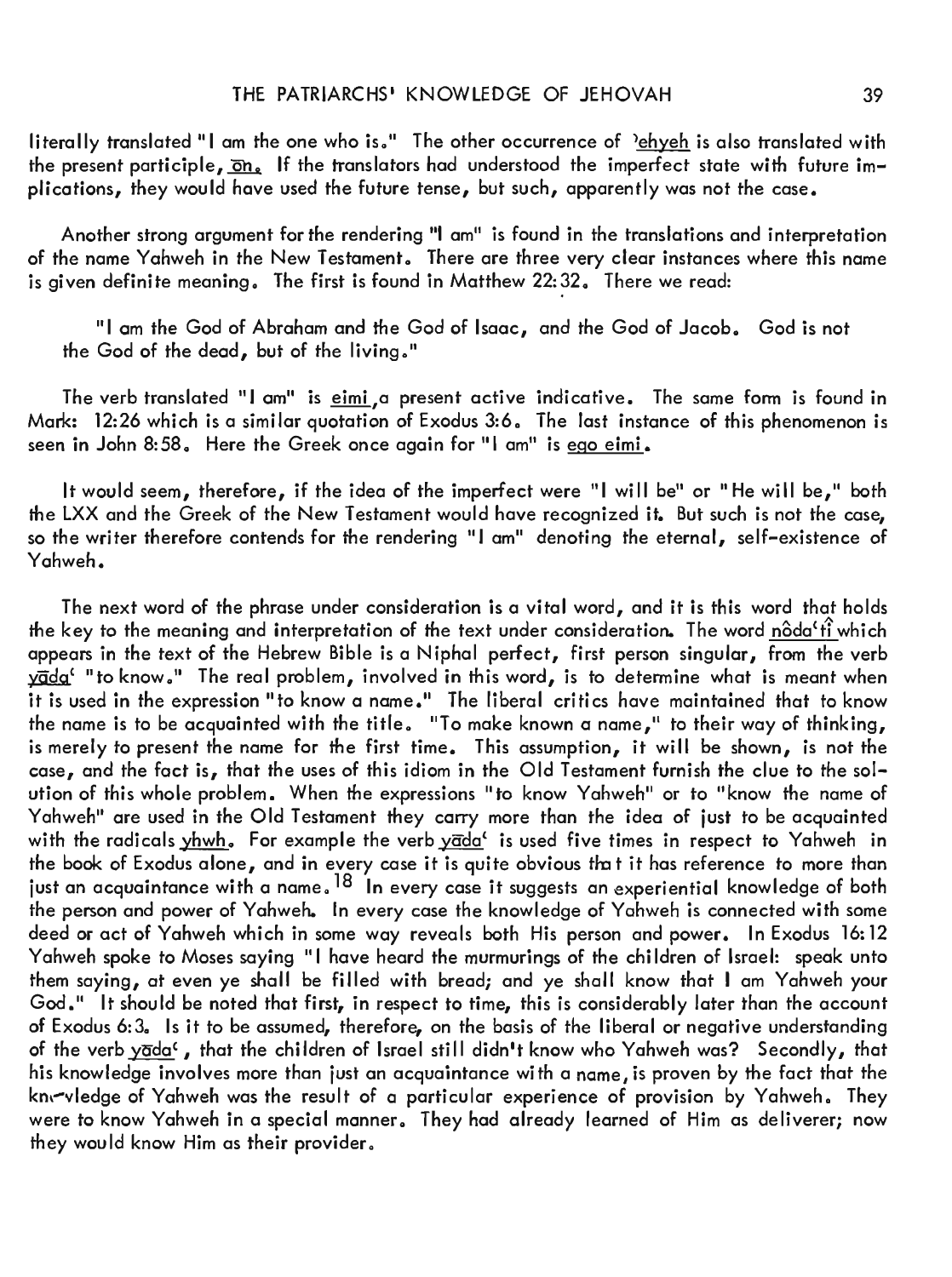literally translated "I am the one who is." The other occurrence of 'ehyeh is also translated with the present participle,  $\overline{\text{on}}_s$ . If the translators had understood the imperfect state with future implications, they would have used the future tense, but such, apparently was not the case.

Another strong argument for the rendering "I am" is found in the translations and interpretation of the name Yahweh in the New Testament. There are three very clear instances where this name is given definite meaning. The first is found in Matthew  $22:32$ . There we read:

"I am the God of Abraham and the God of Isaac, and the God of Jacob. God is not the God of the dead, but of the living."

The verb translated "I am" is eimi, a present active indicative. The same form is found in Mark: 12:26 which is a similar quotation of Exodus 3:6. The last instance of this phenomenon is seen in John 8:58. Here the Greek once again for "I am" is ego eimi.

It would seem, therefore, if the idea of the imperfect were "I will be" or "He will be," both the LXX and the Greek of the New Testament would have recognized it. But such is not the case, so the writer therefore contends for the rendering "I am" denoting the eternal, self-existence of Yahweh.

The next word of the phrase under consideration is a vital word, and it is this word that holds the key to the meaning and interpretation of the text under consideration. The word  $n\hat{\text{o}}$ da't $\hat{\text{f}}$  which appears in the text of the Hebrew Bible is a Niphal perfect, first person singular, from the verb yada' "to know." The real problem, involved in this word, is to determine what is meant when it is used in the expression "to know a name." The liberal critics have maintained that to know the name is to be acquainted with the title. "To make known a name," to their way of thinking, is merely to present the name for the first time. This assumption, it will be shown, is not the case, and the fact is, that the uses of this idiom in the Old Testament furnish the clue to the solution of this whole problem. When the expressions "to know Yahweh" or to "know the name of Yahweh" are used in the Old Testament they carry more than the idea of just to be acquainted with the radicals  $\frac{y hwh}{h}$ . For example the verb  $\frac{y}{d\alpha}$  is used five times in respect to Yahweh in the book of Exodus alone, and in every case it is quite obvious that it has reference to more than just an acquaintance with a name. <sup>18</sup> In every case it suggests an experiential knowledge of both the person and power of Yahweh. In every case the knowledge of Yahweh is connected with some deed or act of Yahweh which in some way reveals both His person and power. In Exodus 16: 12 Yahweh spoke to Moses saying "I have heard the murmurings of the children of Israel: speak unto them saying, at even ye shall be filled with bread; and ye shall know that I am Yahweh your God." It should be noted that first, in respect to time, this is considerably later than the account of Exodus 6:3. Is it to be assumed, therefore, on the basis of the liberal or negative understanding of the verb yada<sup>c</sup>, that the children of Israel still didn't know who Yahweh was? Secondly, that his knowledge involves more than just an acquaintance with a name, is proven by the fact that the kn, wledge of Yahweh was the result of a particular experience of provision by Yahweh. They were to know Yahweh in a special manner. They had already learned of Him as deliverer; now they would know Him as their provider.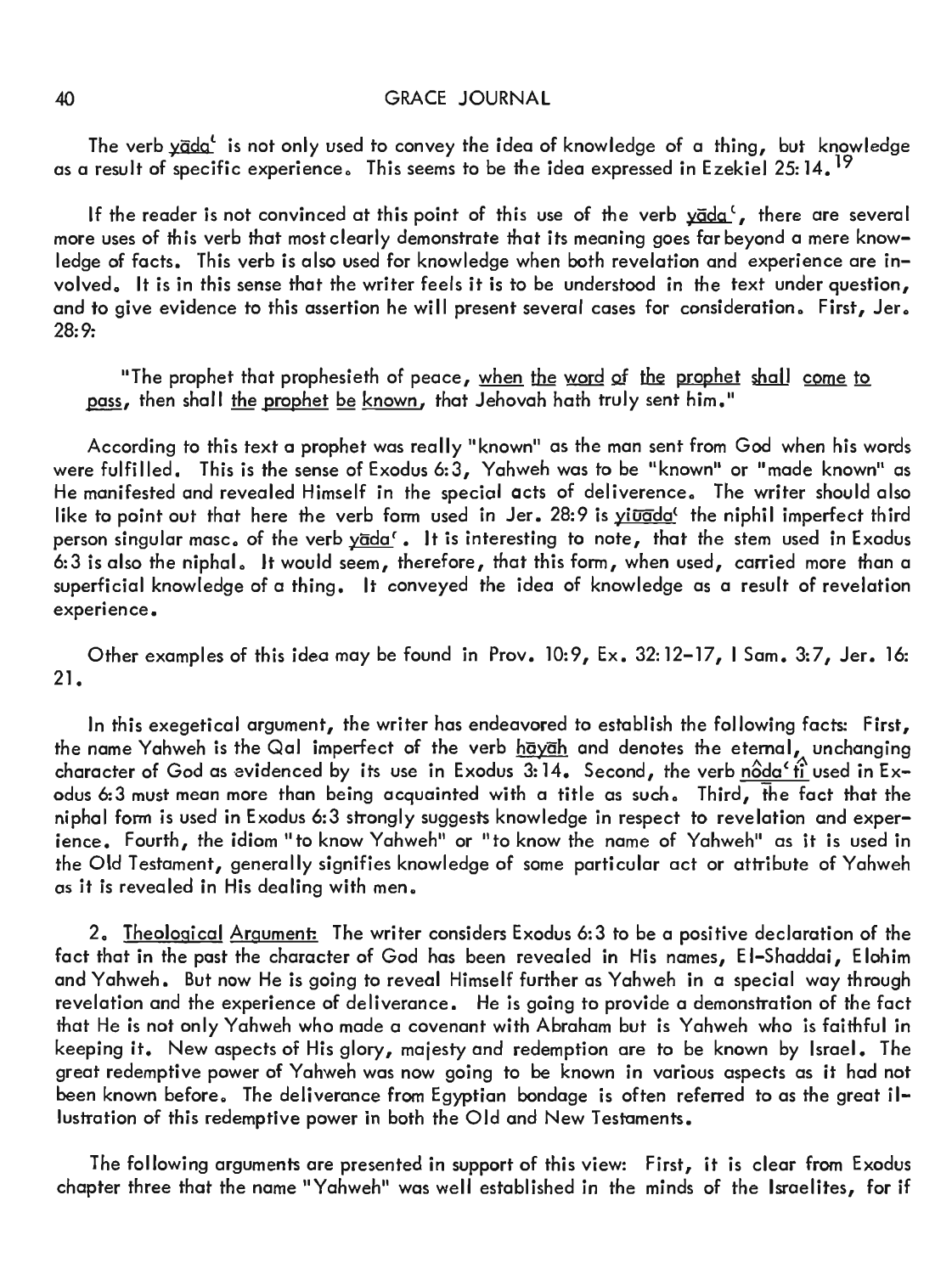The verb  $\frac{\sqrt{d}}{d}$  is not only used to convey the idea of knowledge of a thing, but knowledge as a result of specific experience. This seems to be the idea expressed in Ezekiel 25:  $14.$ <sup>19</sup>

If the reader is not convinced at this point of this use of the verb  $\overrightarrow{y}$  vada<sup>c</sup>, there are several more uses of this verb that most clearly demonstrate that its meaning goes far beyond a mere knowledge of facts. This verb is also used for knowledge when both revelation and experience are involved. It is in this sense that the writer feels it is to be understood in the text under question, and to give evidence to this assertion he will present several cases for consideration. First, Jer. 28:9:

"The prophet that prophesieth of peace, when the word of the prophet shall come to pass, then shall the prophet be known, that Jehovah hath truly sent him."

According to this text a prophet was really "known" as the man sent from God when his words were fulfilled. This is the sense of Exodus 6:3, Yahweh was to be "known" or "made known" as He manifested and revealed Himself in the special acts of deliverence. The writer should also like to point out that here the verb form used in Jer.  $28:9$  is yiuada<sup>4</sup> the niphil imperfect third person singular masc. of the verb yada'. It is interesting to note, that the stem used in Exodus 6:3 is also the niphal. It would seem, therefore, that this form, when used, carried more than a superficial knowledge of a thing. It conveyed the idea of knowledge as a result of revelation experience.

Other examples of this idea may be found in Prov. 10:9, Ex. 32:12-17, I Sam. 3:7, Jer. 16: 21.

In this exegetical argument, the writer has endeavored to establish the following facts: First, the name Yahweh is the Qal imperfect of the verb hayah and denotes the eternal, unchanging character of God as evidenced by its use in Exodus  $3:14$ . Second, the verb  $n\hat{O}d\alpha' \hat{t}$  used in Exodus 6:3 must mean more than being acquainted with a title as such. Third, the fact that the niphal form is used in Exodus 6:3 strongly suggests knowledge in respect to revelation and experience. Fourth, the idiom "to know Yahweh" or "to know the name of Yahweh" as it is used in the Old Testament, generally signifies knowledge of some particular act or attribute of Yahweh as it is revealed in His dealing with men.

2. Theological Argument: The writer considers Exodus 6:3 to be a positive declaration of the fact that in the past the character of God has been revealed in His names, E1-Shaddai, Elohim and Yahweh. But now He is going to reveal Himself further as Yahweh in a special way through revelation and the experience of deliverance. He is going to provide a demonstration of the fact that He is not only Yahweh who made a covenant with Abraham but is Yahweh who is faithful in keeping it. New aspects of His glory, *majesty* and redemption are to be known by Israel. The great redemptive power of Yahweh was now going to be known in various aspects as it had not been known before. The deliverance from Egyptian bondage is often referred to as the great illustration of this redemptive power in both the Old and New Testaments.

The following arguments are presented in support of this view: First, it is clear from Exodus chapter three that the name "Yahweh" was well established in the minds of the Israelites, for if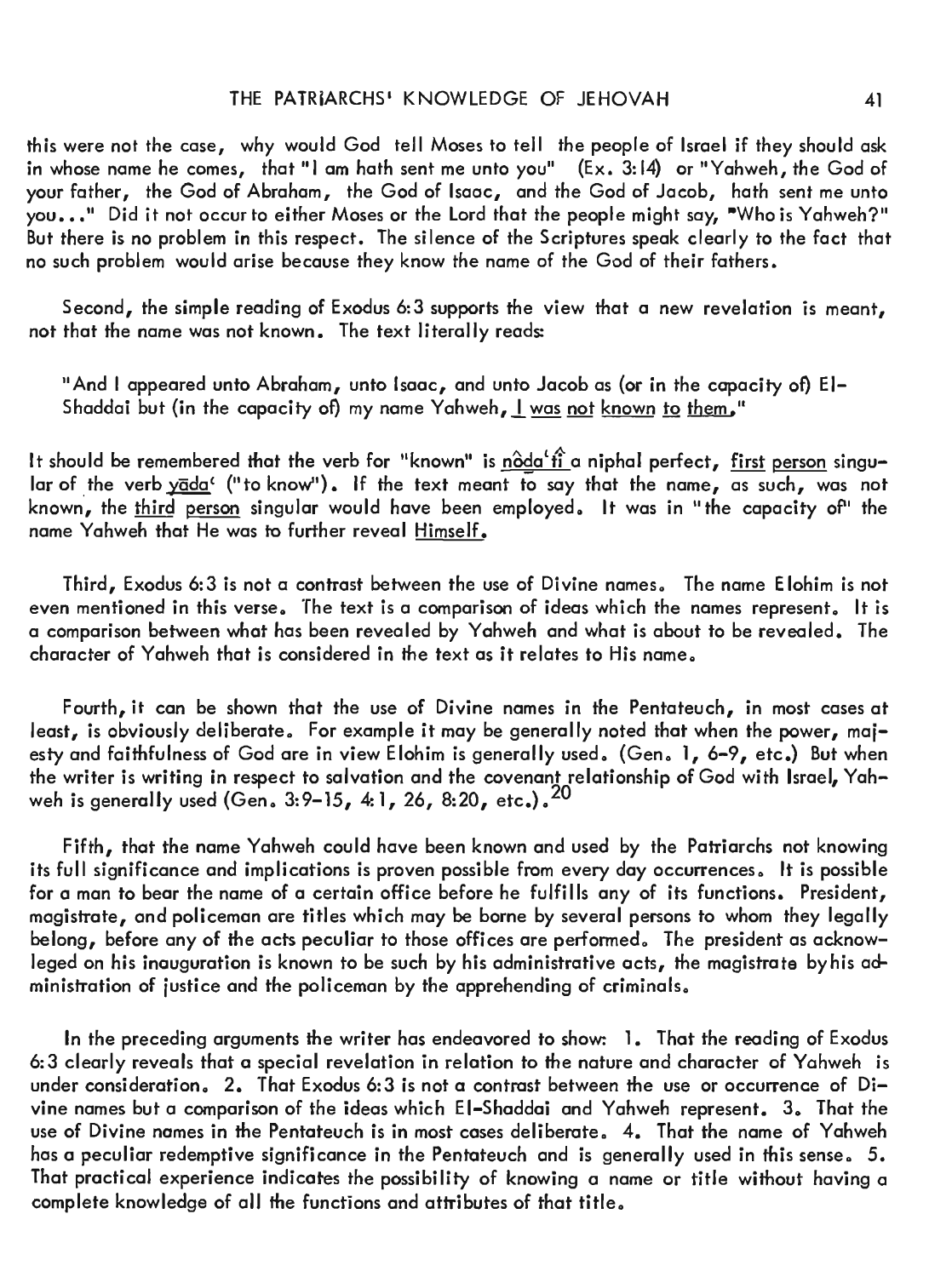this were not the case, why would God tell Moses to tell the people of Israel if they should ask in whose name he comes, that "I am hath sent me unto you"  $(Ex. 3: 14)$  or "Yahweh, the God of your father, the God of Abraham, the God of Isaac, and the God of Jacob, hath sent me unto you . . " Did it not occur to either Moses or the Lord that the people might say, "Who is Yahweh?" But there is no problem in this respect. The silence of the Scriptures speak clearly to the fact that no such problem would arise because they know the name of the God of their fathers.

Second, the simple reading of Exodus 6:3 supports the view that a new revelation is meant, not that the name was not known. The text literally reads:

"And I appeared unto Abraham, unto Isaac, and unto Jacob as (or in the capacity of) EI-Shaddai but (in the capacity of) my name Yahweh,  $\frac{1}{1}$  was not known to them."

It should be remembered that the verb for "known" is  $\frac{\partial da'}{\partial a}$  a niphal perfect, first person singular of the verb yada' ("to know"). If the text meant to say that the name, as such, was not known, the third person singular would have been employed. It was in "the capacity of" the name Yahweh that He was to further reveal Himself.

Third, Exodus 6:3 is not a contrast between the use of Divine names。 The name Elohim is not even mentioned in this verse. The text is a comparison of ideas which the names represent. It is a comparison between what has been revealed by Yahweh and what is about to be revealed. The character of Yahweh that is considered in the text as it relates to His name.

Fourth, it can be shown that the use of Divine names in the Pentateuch, in most cases at least, is obviously deliberate. For example it may be generally noted that when the power, majesty and faithfulness of God are in view Elohim is generally used. (Gen. 1, 6-9, etc.) But when the writer is writing in respect to salvation and the covenant relationship of God with Israel, Yahweh is generally used (Gen.  $3:9-15$ , 4:1, 26, 8:20, etc.).<sup>20</sup>

Fifth, that the name Yahweh could have been known and used by the Patriarchs not knowing its full significance and implications is proven possible from every day occurrences. It is possible for a man to bear the name of a certain office before he fulfills any of its functions. President, magistrate, and policeman are titles which may be borne by several persons to whom they legally belong, before any of the acts peculiar to those offices are performed. The president as acknowleged on his inauguration is known to be such by his administrative acts, the magistrate by his administration of justice and the policeman by the apprehending of criminals.

In the preceding arguments the writer has endeavored to show: 1. That the reading of Exodus 6:3 clearly reveals that a special revelation in relation to the nature and character of Yahweh is under consideration. 2. That Exodus 6:3 is not a contrast between the use or occurrence of Divine names but a comparison of the ideas which EI-Shaddai and Yahweh represent. 3. That the use of Divine names in the Pentateuch is in most cases deliberate. 4. That the name of Yahweh has a peculiar redemptive significance in the Pentateuch and is generally used in this sense. 5. That practical experience indicates the possibility of knowing a name or title without having a complete knowledge of all the functions and attributes of that title.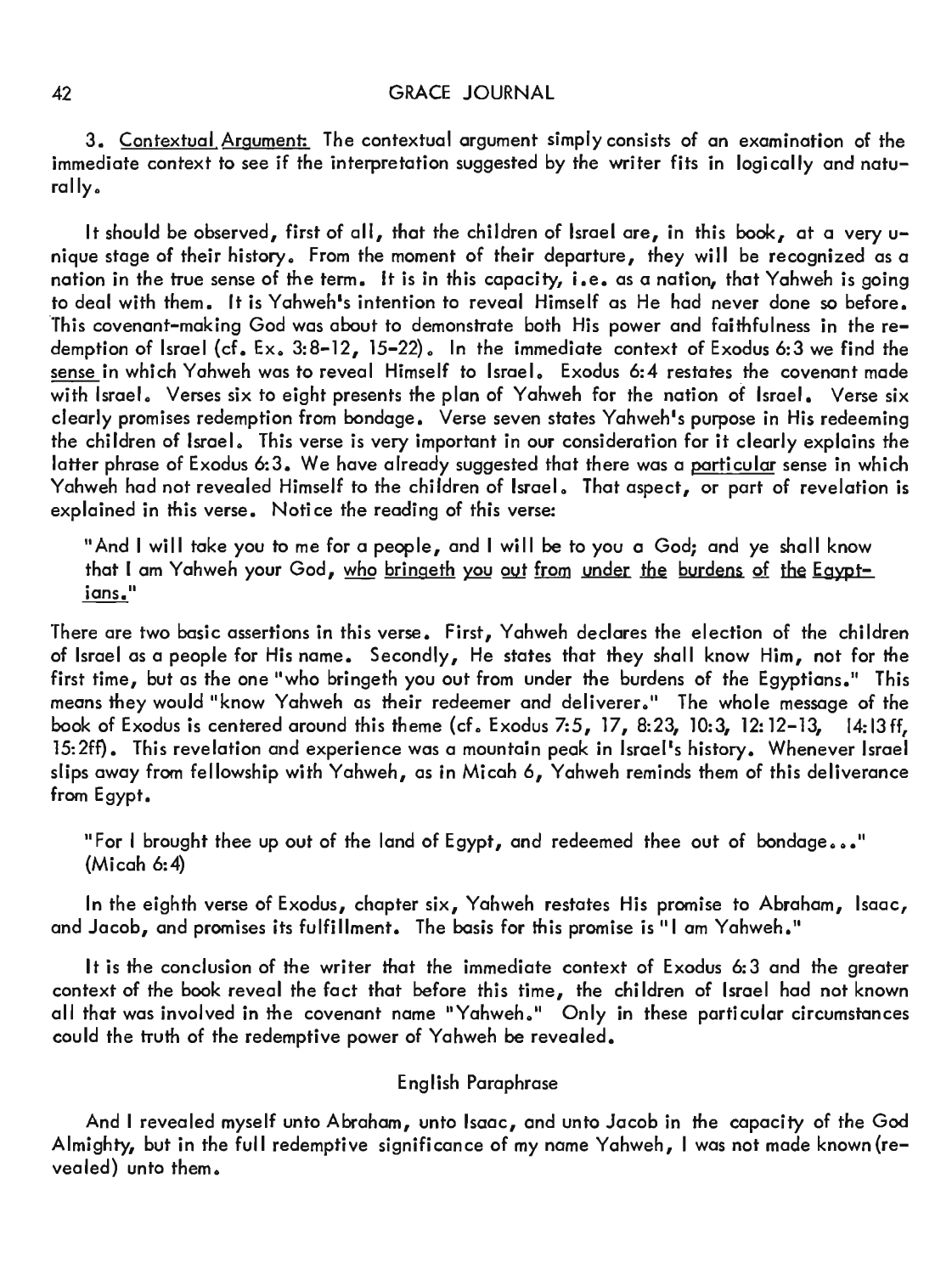3 . Contextuol Argument: The contextual argument simply consists of an examination of the immediate context to see if the interpretation suggested by the writer fits in logically and naturally.

It should be observed, first of all, that the children of Israel are, in this book, at a very unique stage of their history. From the moment of their departure, they will be recognized as a nation in the true sense of the term. It is in this capacity, i.e. as a nation, that Yahweh is going to deal with them. It is Yahweh's intention to reveal Himself as He had never done so before. this covenant-making God was about to demonstrate both His power and faithfulness in the redemption of Israel (cf. Ex.  $3:8-12$ ,  $15-22$ ). In the immediate context of Exodus 6:3 we find the sense in which Yahweh was to reveal Himself to Israel. Exodus 6:4 restates the covenant made with Israel. Verses six to eight presents the plan of Yahweh for the nation of Israel. Verse six clearly promises redemption from bondage. Verse seven states Yahweh's purpose in His redeeming the children of Israel. This verse is very important in our consideration for it clearly explains the latter phrase of Exodus 6:3. We have already suggested that there was a particular sense in which Yahweh had not revealed Himself to the children of Israel. That aspect, or part of revelation is explained in this verse. Notice the reading of this verse:

"And I will take you to me for a people, and I will be to you a God; and ye shall know that I am Yahweh your God, who bringeth you out from under the burdens of the Eavotians."

There are two basic assertions in this verse. First, Yahweh declares the election of the children of Israel as a people for His name. Secondly, He states that they shall know Him, not for the first time, but as the one "who bringeth you out from under the burdens of the Egyptians." This means they would "know Yahweh as their redeemer and deliverer." The whole message of the book of Exodus is centered around this theme (cf. Exodus 7:5, 17, 8:23, 10:3, 12:12-13, 14:13 ff, 15:2ff). This revelation and experience was a mountain peak in Israel's history. Whenever Israel slips away from fellowship with Yahweh, as in Micah 6, Yahweh reminds them of this deliverance from Egypt.

"For I brought thee up out of the land of Egypt, and redeemed thee out of bondage..." (Micah 6:4)

In the eighth verse of Exodus, chapter six, Yahweh restates His promise to Abraham, Isaac, and Jacob, and promises its fulfillment. The basis for this promise is "I am Yahweh."

It is the conclusion of the writer that the immediate context of Exodus 6:3 and the greater context of the book reveal the fact that before this time, the children of Israel had not known all that was involved in the covenant name "Yahweh." Only in these particular circumstances could the truth of the redemptive power of Yahweh be revealed.

## English Paraphrase

And I revealed myself unto Abraham, unto Isaac, and unto Jacob in the capacity of the God Almighty, but in the full redemptive significance of my name Yahweh, I was not made known (re $v$ ealed) unto them.